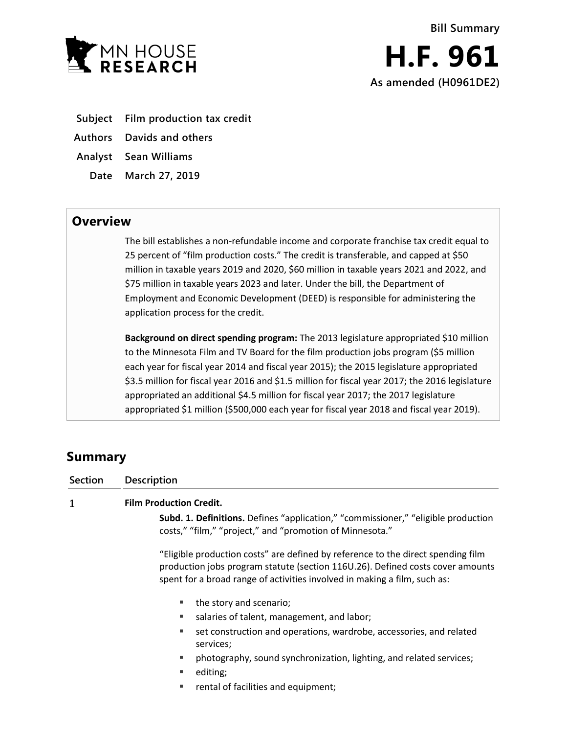

- **Subject Film production tax credit**
- **Authors Davids and others**
- **Analyst Sean Williams**
	- **Date March 27, 2019**

## **Overview**

The bill establishes a non-refundable income and corporate franchise tax credit equal to 25 percent of "film production costs." The credit is transferable, and capped at \$50 million in taxable years 2019 and 2020, \$60 million in taxable years 2021 and 2022, and \$75 million in taxable years 2023 and later. Under the bill, the Department of Employment and Economic Development (DEED) is responsible for administering the application process for the credit.

**Background on direct spending program:** The 2013 legislature appropriated \$10 million to the Minnesota Film and TV Board for the film production jobs program (\$5 million each year for fiscal year 2014 and fiscal year 2015); the 2015 legislature appropriated \$3.5 million for fiscal year 2016 and \$1.5 million for fiscal year 2017; the 2016 legislature appropriated an additional \$4.5 million for fiscal year 2017; the 2017 legislature appropriated \$1 million (\$500,000 each year for fiscal year 2018 and fiscal year 2019).

# **Summary**

| <b>Section</b> | <b>Description</b>                                                                                                                                                                                                                              |
|----------------|-------------------------------------------------------------------------------------------------------------------------------------------------------------------------------------------------------------------------------------------------|
| 1              | <b>Film Production Credit.</b>                                                                                                                                                                                                                  |
|                | Subd. 1. Definitions. Defines "application," "commissioner," "eligible production<br>costs," "film," "project," and "promotion of Minnesota."                                                                                                   |
|                | "Eligible production costs" are defined by reference to the direct spending film<br>production jobs program statute (section 116U.26). Defined costs cover amounts<br>spent for a broad range of activities involved in making a film, such as: |
|                | the story and scenario;<br>٠                                                                                                                                                                                                                    |
|                | salaries of talent, management, and labor;                                                                                                                                                                                                      |
|                | set construction and operations, wardrobe, accessories, and related<br>٠<br>services;                                                                                                                                                           |
|                | photography, sound synchronization, lighting, and related services;<br>٠                                                                                                                                                                        |
|                | editing;<br>٠                                                                                                                                                                                                                                   |
|                |                                                                                                                                                                                                                                                 |

**Fig.** rental of facilities and equipment;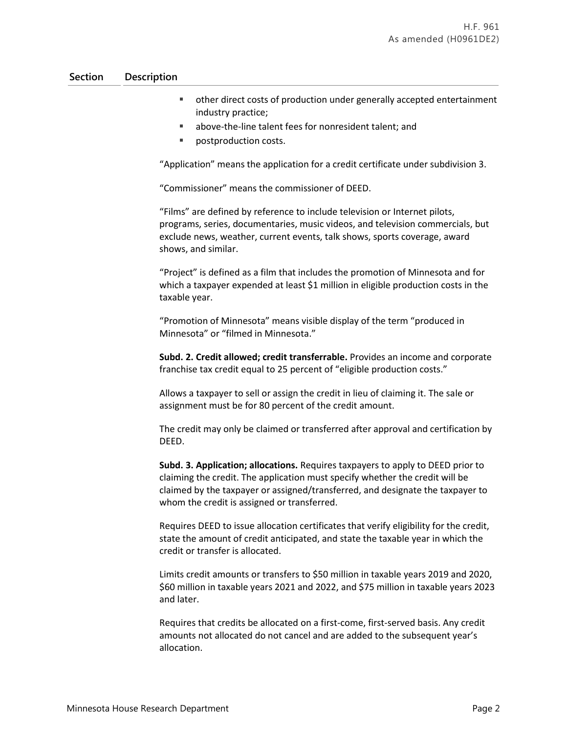### **Section Description**

- other direct costs of production under generally accepted entertainment industry practice;
- above-the-line talent fees for nonresident talent; and
- postproduction costs.

"Application" means the application for a credit certificate under subdivision 3.

"Commissioner" means the commissioner of DEED.

"Films" are defined by reference to include television or Internet pilots, programs, series, documentaries, music videos, and television commercials, but exclude news, weather, current events, talk shows, sports coverage, award shows, and similar.

"Project" is defined as a film that includes the promotion of Minnesota and for which a taxpayer expended at least \$1 million in eligible production costs in the taxable year.

"Promotion of Minnesota" means visible display of the term "produced in Minnesota" or "filmed in Minnesota."

**Subd. 2. Credit allowed; credit transferrable.** Provides an income and corporate franchise tax credit equal to 25 percent of "eligible production costs."

Allows a taxpayer to sell or assign the credit in lieu of claiming it. The sale or assignment must be for 80 percent of the credit amount.

The credit may only be claimed or transferred after approval and certification by DEED.

**Subd. 3. Application; allocations.** Requires taxpayers to apply to DEED prior to claiming the credit. The application must specify whether the credit will be claimed by the taxpayer or assigned/transferred, and designate the taxpayer to whom the credit is assigned or transferred.

Requires DEED to issue allocation certificates that verify eligibility for the credit, state the amount of credit anticipated, and state the taxable year in which the credit or transfer is allocated.

Limits credit amounts or transfers to \$50 million in taxable years 2019 and 2020, \$60 million in taxable years 2021 and 2022, and \$75 million in taxable years 2023 and later.

Requires that credits be allocated on a first-come, first-served basis. Any credit amounts not allocated do not cancel and are added to the subsequent year's allocation.